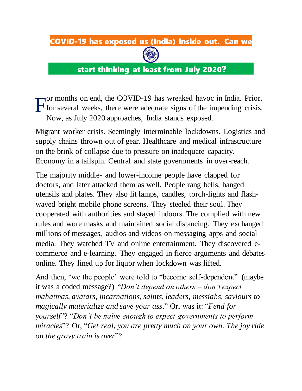## COVID-19 has exposed us (India) inside out. Can we



start thinking at least from July 2020? **.**

or months on end, the COVID-19 has wreaked havoc in India. Prior, for several weeks, there were adequate signs of the impending crisis. Now, as July 2020 approaches, India stands exposed. F

Migrant worker crisis. Seemingly interminable lockdowns. Logistics and supply chains thrown out of gear. Healthcare and medical infrastructure on the brink of collapse due to pressure on inadequate capacity. Economy in a tailspin. Central and state governments in over-reach.

The majority middle- and lower-income people have clapped for doctors, and later attacked them as well. People rang bells, banged utensils and plates. They also lit lamps, candles, torch-lights and flashwaved bright mobile phone screens. They steeled their soul. They cooperated with authorities and stayed indoors. The complied with new rules and wore masks and maintained social distancing. They exchanged millions of messages, audios and videos on messaging apps and social media. They watched TV and online entertainment. They discovered ecommerce and e-learning. They engaged in fierce arguments and debates online. They lined up for liquor when lockdown was lifted.

And then, 'we the people' were told to "become self-dependent" **(**maybe it was a coded message?**)** "*Don't depend on others – don't expect mahatmas, avatars, incarnations, saints, leaders, messiahs, saviours to magically materialize and save your ass*." Or, was it: "*Fend for yourself*"? "*Don't be naïve enough to expect governments to perform miracles*"? Or, "*Get real, you are pretty much on your own. The joy ride on the gravy train is over*"?